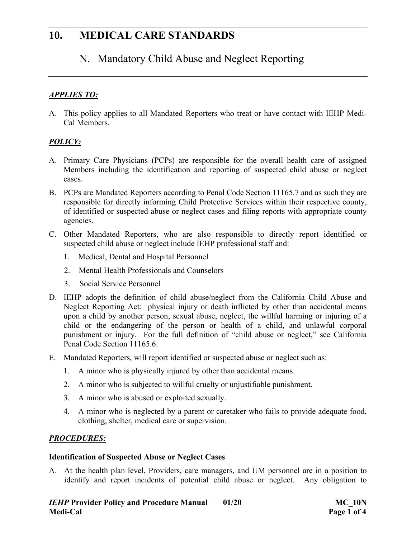# N. Mandatory Child Abuse and Neglect Reporting

### *APPLIES TO:*

A. This policy applies to all Mandated Reporters who treat or have contact with IEHP Medi-Cal Members.

#### *POLICY:*

- A. Primary Care Physicians (PCPs) are responsible for the overall health care of assigned Members including the identification and reporting of suspected child abuse or neglect cases.
- B. PCPs are Mandated Reporters according to Penal Code Section 11165.7 and as such they are responsible for directly informing Child Protective Services within their respective county, of identified or suspected abuse or neglect cases and filing reports with appropriate county agencies.
- C. Other Mandated Reporters, who are also responsible to directly report identified or suspected child abuse or neglect include IEHP professional staff and:
	- 1. Medical, Dental and Hospital Personnel
	- 2. Mental Health Professionals and Counselors
	- 3. Social Service Personnel
- D. IEHP adopts the definition of child abuse/neglect from the California Child Abuse and Neglect Reporting Act: physical injury or death inflicted by other than accidental means upon a child by another person, sexual abuse, neglect, the willful harming or injuring of a child or the endangering of the person or health of a child, and unlawful corporal punishment or injury. For the full definition of "child abuse or neglect," see California Penal Code Section 11165.6.
- E. Mandated Reporters, will report identified or suspected abuse or neglect such as:
	- 1. A minor who is physically injured by other than accidental means.
	- 2. A minor who is subjected to willful cruelty or unjustifiable punishment.
	- 3. A minor who is abused or exploited sexually.
	- 4. A minor who is neglected by a parent or caretaker who fails to provide adequate food, clothing, shelter, medical care or supervision.

#### *PROCEDURES:*

#### **Identification of Suspected Abuse or Neglect Cases**

A. At the health plan level, Providers, care managers, and UM personnel are in a position to identify and report incidents of potential child abuse or neglect. Any obligation to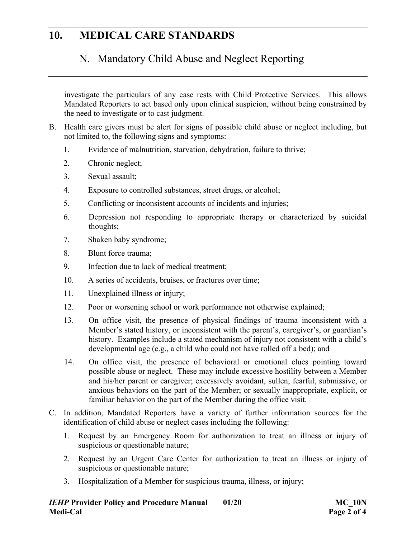# N. Mandatory Child Abuse and Neglect Reporting

investigate the particulars of any case rests with Child Protective Services. This allows Mandated Reporters to act based only upon clinical suspicion, without being constrained by the need to investigate or to cast judgment.

- B. Health care givers must be alert for signs of possible child abuse or neglect including, but not limited to, the following signs and symptoms:
	- 1. Evidence of malnutrition, starvation, dehydration, failure to thrive;
	- 2. Chronic neglect;
	- 3. Sexual assault;
	- 4. Exposure to controlled substances, street drugs, or alcohol;
	- 5. Conflicting or inconsistent accounts of incidents and injuries;
	- 6. Depression not responding to appropriate therapy or characterized by suicidal thoughts;
	- 7. Shaken baby syndrome;
	- 8. Blunt force trauma;
	- 9. Infection due to lack of medical treatment;
	- 10. A series of accidents, bruises, or fractures over time;
	- 11. Unexplained illness or injury;
	- 12. Poor or worsening school or work performance not otherwise explained;
	- 13. On office visit, the presence of physical findings of trauma inconsistent with a Member's stated history, or inconsistent with the parent's, caregiver's, or guardian's history. Examples include a stated mechanism of injury not consistent with a child's developmental age (e.g., a child who could not have rolled off a bed); and
	- 14. On office visit, the presence of behavioral or emotional clues pointing toward possible abuse or neglect. These may include excessive hostility between a Member and his/her parent or caregiver; excessively avoidant, sullen, fearful, submissive, or anxious behaviors on the part of the Member; or sexually inappropriate, explicit, or familiar behavior on the part of the Member during the office visit.
- C. In addition, Mandated Reporters have a variety of further information sources for the identification of child abuse or neglect cases including the following:
	- 1. Request by an Emergency Room for authorization to treat an illness or injury of suspicious or questionable nature;
	- 2. Request by an Urgent Care Center for authorization to treat an illness or injury of suspicious or questionable nature;
	- 3. Hospitalization of a Member for suspicious trauma, illness, or injury;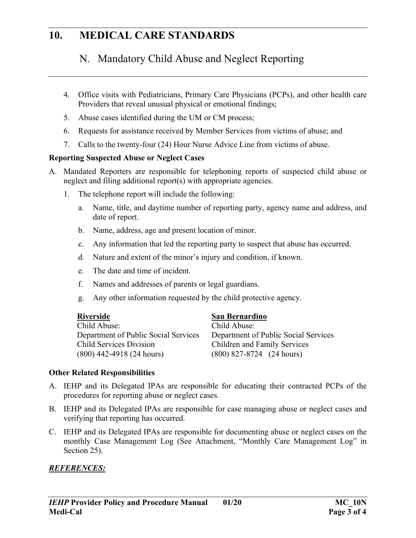# N. Mandatory Child Abuse and Neglect Reporting

- 4. Office visits with Pediatricians, Primary Care Physicians (PCPs), and other health care Providers that reveal unusual physical or emotional findings;
- 5. Abuse cases identified during the UM or CM process;
- 6. Requests for assistance received by Member Services from victims of abuse; and
- 7. Calls to the twenty-four (24) Hour Nurse Advice Line from victims of abuse.

#### **Reporting Suspected Abuse or Neglect Cases**

- A. Mandated Reporters are responsible for telephoning reports of suspected child abuse or neglect and filing additional report(s) with appropriate agencies.
	- 1. The telephone report will include the following:
		- a. Name, title, and daytime number of reporting party, agency name and address, and date of report.
		- b. Name, address, age and present location of minor.
		- c. Any information that led the reporting party to suspect that abuse has occurred.
		- d. Nature and extent of the minor's injury and condition, if known.
		- e. The date and time of incident.
		- f. Names and addresses of parents or legal guardians.
		- g. Any other information requested by the child protective agency.

| Riverside                            | San Bernardino                        |  |
|--------------------------------------|---------------------------------------|--|
| Child Abuse:                         | Child Abuse:                          |  |
| Department of Public Social Services | Department of Public Social Services  |  |
| Child Services Division              | <b>Children and Family Services</b>   |  |
| $(800)$ 442-4918 (24 hours)          | $(800)$ 827-8724 $(24 \text{ hours})$ |  |

#### **Other Related Responsibilities**

- A. IEHP and its Delegated IPAs are responsible for educating their contracted PCPs of the procedures for reporting abuse or neglect cases.
- B. IEHP and its Delegated IPAs are responsible for case managing abuse or neglect cases and verifying that reporting has occurred.
- C. IEHP and its Delegated IPAs are responsible for documenting abuse or neglect cases on the monthly Case Management Log (See Attachment, "Monthly Care Management Log" in Section 25).

#### *REFERENCES:*